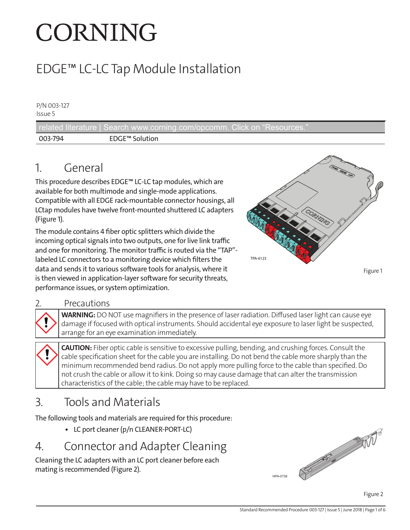# CORNING

# EDGE™ LC-LC Tap Module Installation

P/N 003-127 Issue 5

related literature | Search www.corning.com/opcomm. Click on "Resources 003-794 EDGE™ Solution

## 1. General

This procedure describes EDGE™ LC-LC tap modules, which are available for both multimode and single-mode applications. Compatible with all EDGE rack-mountable connector housings, all LCtap modules have twelve front-mounted shuttered LC adapters [\(Figure 1\)](#page-0-0).

The module contains 4 fiber optic splitters which divide the incoming optical signals into two outputs, one for live link traffic and one for monitoring. The monitor traffic is routed via the "TAP" labeled LC connectors to a monitoring device which filters the data and sends it to various software tools for analysis, where it is then viewed in application-layer software for security threats, performance issues, or system optimization.



<span id="page-0-1"></span><span id="page-0-0"></span>Figure 1

#### **Precautions**

**WARNING:** DO NOT use magnifiers in the presence of laser radiation. Diffused laser light can cause eye damage if focused with optical instruments. Should accidental eye exposure to laser light be suspected, arrange for an eye examination immediately.

**CAUTION:** Fiber optic cable is sensitive to excessive pulling, bending, and crushing forces. Consult the cable specification sheet for the cable you are installing. Do not bend the cable more sharply than the minimum recommended bend radius. Do not apply more pulling force to the cable than specified. Do not crush the cable or allow it to kink. Doing so may cause damage that can alter the transmission characteristics of the cable; the cable may have to be replaced.

### 3. Tools and Materials

The following tools and materials are required for this procedure:

**•** LC port cleaner (p/n CLEANER-PORT-LC)

#### 4. Connector and Adapter Cleaning

Cleaning the LC adapters with an LC port cleaner before each mating is recommended [\(Figure 2\)](#page-0-1).

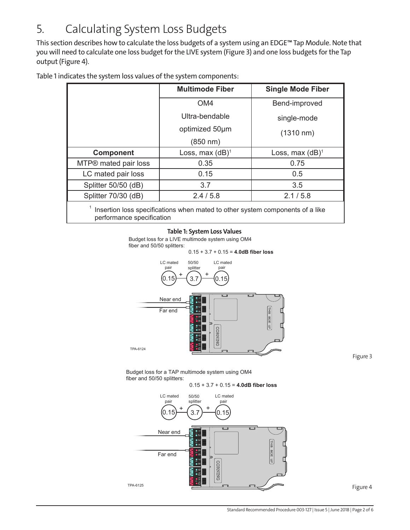## 5. Calculating System Loss Budgets

This section describes how to calculate the loss budgets of a system using an EDGE™ Tap Module. Note that you will need to calculate one loss budget for the LIVE system (Figure 3) and one loss budgets for the Tap output (Figure 4).

|                                                                               | <b>Multimode Fiber</b> | <b>Single Mode Fiber</b> |
|-------------------------------------------------------------------------------|------------------------|--------------------------|
|                                                                               | OM <sub>4</sub>        | Bend-improved            |
|                                                                               | Ultra-bendable         | single-mode              |
|                                                                               | optimized 50um         | $(1310 \text{ nm})$      |
|                                                                               | (850 nm)               |                          |
| <b>Component</b>                                                              | Loss, max $(dB)^1$     | Loss, max $(dB)^1$       |
| MTP® mated pair loss                                                          | 0.35                   | 0.75                     |
| LC mated pair loss                                                            | 0.15                   | 0.5                      |
| Splitter 50/50 (dB)                                                           | 3.7                    | 3.5                      |
| Splitter 70/30 (dB)                                                           | 2.4/5.8                | 2.1 / 5.8                |
| Insertion loss specifications when mated to other system components of a like |                        |                          |

Table 1 indicates the system loss values of the system components:

performance specification

#### **Table 1: System Loss Values**

Budget loss for a LIVE multimode system using OM4 fiber and 50/50 splitters:



<span id="page-1-1"></span><span id="page-1-0"></span>Figure 3

Budget loss for a TAP multimode system using OM4 fiber and 50/50 splitters:

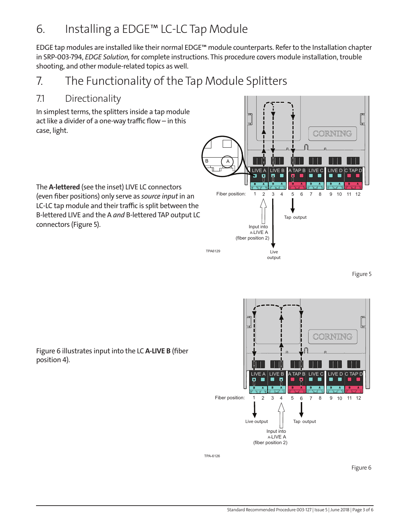## 6. Installing a EDGE™ LC-LC Tap Module

EDGE tap modules are installed like their normal EDGE™ module counterparts. Refer to the Installation chapter in SRP-003-794, *EDGE Solution,* for complete instructions. This procedure covers module installation, trouble shooting, and other module-related topics as well.

## 7. The Functionality of the Tap Module Splitters

#### 7.1 Directionality

In simplest terms, the splitters inside a tap module act like a divider of a one-way traffic flow – in this case, light.

The **A-lettered** (see the inset) LIVE LC connectors (even fiber positions) only serve as *source input* in an LC-LC tap module and their traffic is split between the B-lettered LIVE and the A *and* B-lettered TAP output LC connectors (Figure 5).



<span id="page-2-1"></span><span id="page-2-0"></span>Figure 5



[Figure 6](#page-2-1) illustrates input into the LC **A-LIVE B** (fiber position 4).

TPA-6126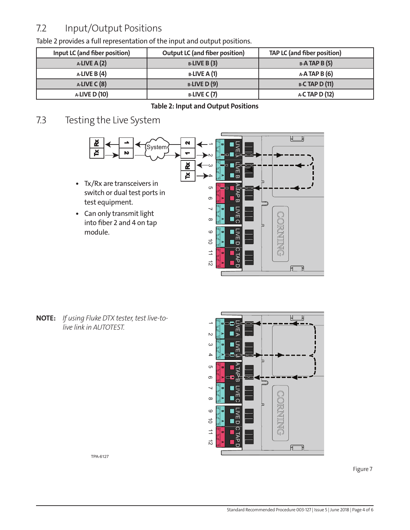#### 7.2 Input/Output Positions

| Input LC (and fiber position) | <b>Output LC (and fiber position)</b> | TAP LC (and fiber position) |
|-------------------------------|---------------------------------------|-----------------------------|
| $A-LIVE A (2)$                | $B$ -LIVE B(3)                        | $B-A$ TAP B $(5)$           |
| $A$ -LIVE B $(4)$             | $B$ -LIVE A (1)                       | $A-A$ TAP B $(6)$           |
| $A$ -LIVE C $(8)$             | <b>B-LIVE D (9)</b>                   | <b>B-C TAP D (11)</b>       |
| <b>A-LIVE D (10)</b>          | $B$ -LIVE C(7)                        | A-C TAP D (12)              |

[Table 2](#page-3-0) provides a full representation of the input and output positions.

#### <span id="page-3-0"></span>**Table 2: Input and Output Positions**

#### 7.3 Testing the Live System



**NOTE:** *If using Fluke DTX tester, test live-tolive link in AUTOTEST.*





TPA-6127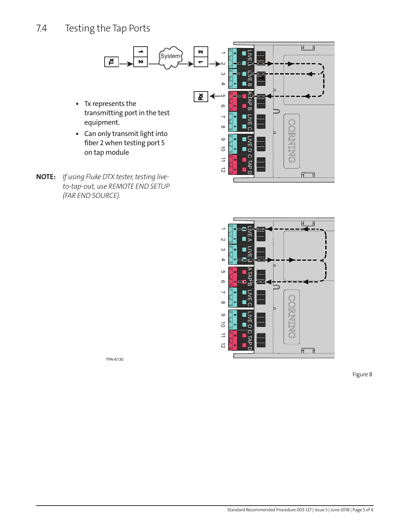#### 7.4 Testing the Tap Ports



**NOTE:** *If using Fluke DTX tester, testing liveto-tap-out, use REMOTE END SETUP (FAR END SOURCE).* 



TPA-6130